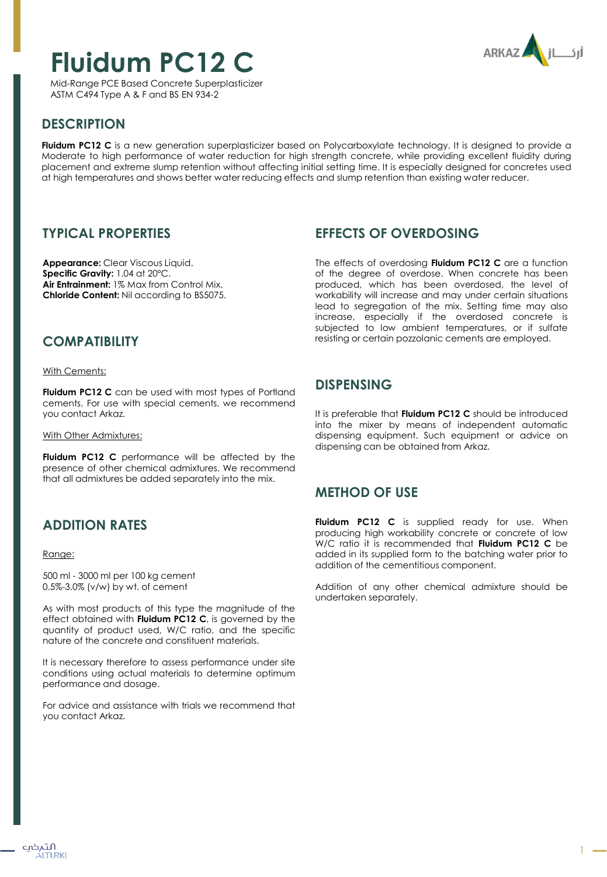# **Fluidum PC12 C**

ARKAZ ILJI

Mid-Range PCE Based Concrete Superplasticizer ASTM C494 Type A & F and BS EN 934-2

## **DESCRIPTION**

**Fluidum PC12 C** is a new generation superplasticizer based on Polycarboxylate technology. It is designed to provide a Moderate to high performance of water reduction for high strength concrete, while providing excellent fluidity during placement and extreme slump retention without affecting initial setting time. It is especially designed for concretes used at high temperatures and shows better water reducing effects and slump retention than existing water reducer.

#### **TYPICAL PROPERTIES**

**Appearance:** Clear Viscous Liquid. **Specific Gravity:** 1.04 at 20ºC. **Air Entrainment:** 1% Max from Control Mix. **Chloride Content:** Nil according to BS5075.

### **EFFECTS OF OVERDOSING**

The effects of overdosing **Fluidum PC12 C** are a function of the degree of overdose. When concrete has been produced, which has been overdosed, the level of workability will increase and may under certain situations lead to segregation of the mix. Setting time may also increase, especially if the overdosed concrete is subjected to low ambient temperatures, or if sulfate resisting or certain pozzolanic cements are employed.

## **COMPATIBILITY**

With Cements:

**Fluidum PC12 C** can be used with most types of Portland cements. For use with special cements, we recommend you contact Arkaz.

With Other Admixtures:

**Fluidum PC12 C** performance will be affected by the presence of other chemical admixtures. We recommend that all admixtures be added separately into the mix.

## **ADDITION RATES**

#### Range:

500 ml - 3000 ml per 100 kg cement 0.5%-3.0% (v/w) by wt. of cement

As with most products of this type the magnitude of the effect obtained with **Fluidum PC12 C**, is governed by the quantity of product used, W/C ratio, and the specific nature of the concrete and constituent materials.

It is necessary therefore to assess performance under site conditions using actual materials to determine optimum performance and dosage.

For advice and assistance with trials we recommend that you contact Arkaz.

#### **DISPENSING**

It is preferable that **Fluidum PC12 C** should be introduced into the mixer by means of independent automatic dispensing equipment. Such equipment or advice on dispensing can be obtained from Arkaz.

#### **METHOD OF USE**

**Fluidum PC12 C** is supplied ready for use. When producing high workability concrete or concrete of low W/C ratio it is recommended that **Fluidum PC12 C** be added in its supplied form to the batching water prior to addition of the cementitious component.

Addition of any other chemical admixture should be undertaken separately.